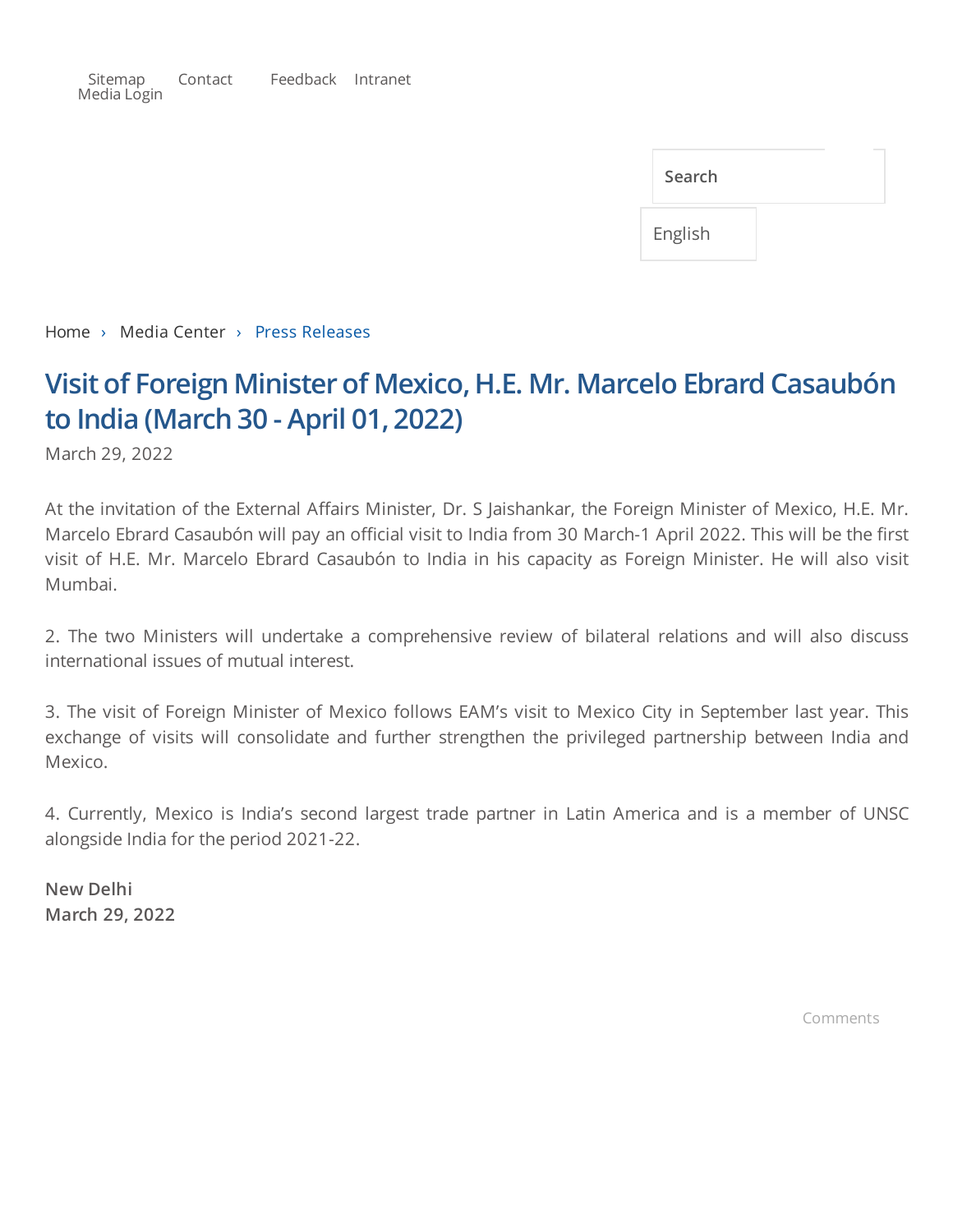[Sitemap](https://www.mea.gov.in/sitemap.htm) [Contact](https://www.mea.gov.in/contact-tele-inquiry.htm) [Feedback](https://www.mea.gov.in/feedback.htm) [Intranet](http://mea.gov.in/ifsonline.aspx) [Media](https://meacms.mea.gov.in/medialogin.aspx) Login

| Search  |  |
|---------|--|
| English |  |

[Home](https://www.mea.gov.in/index.htm) › Media Center › Press Releases

## **Visit of Foreign Minister of Mexico, H.E. Mr. Marcelo Ebrard Casaubón to India (March 30 - April 01, 2022)**

March 29, 2022

At the invitation of the External Affairs Minister, Dr. S Jaishankar, the Foreign Minister of Mexico, H.E. Mr. Marcelo Ebrard Casaubón will pay an official visit to India from 30 March-1 April 2022. This will be the first visit of H.E. Mr. Marcelo Ebrard Casaubón to India in his capacity as Foreign Minister. He will also visit Mumbai.

2. The two Ministers will undertake a comprehensive review of bilateral relations and will also discuss international issues of mutual interest.

3. The visit of Foreign Minister of Mexico follows EAM's visit to Mexico City in September last year. This exchange of visits will consolidate and further strengthen the privileged partnership between India and Mexico.

4. Currently, Mexico is India's second largest trade partner in Latin America and is a member of UNSC alongside India for the period 2021-22.

**New Delhi March 29, 2022**

Comments